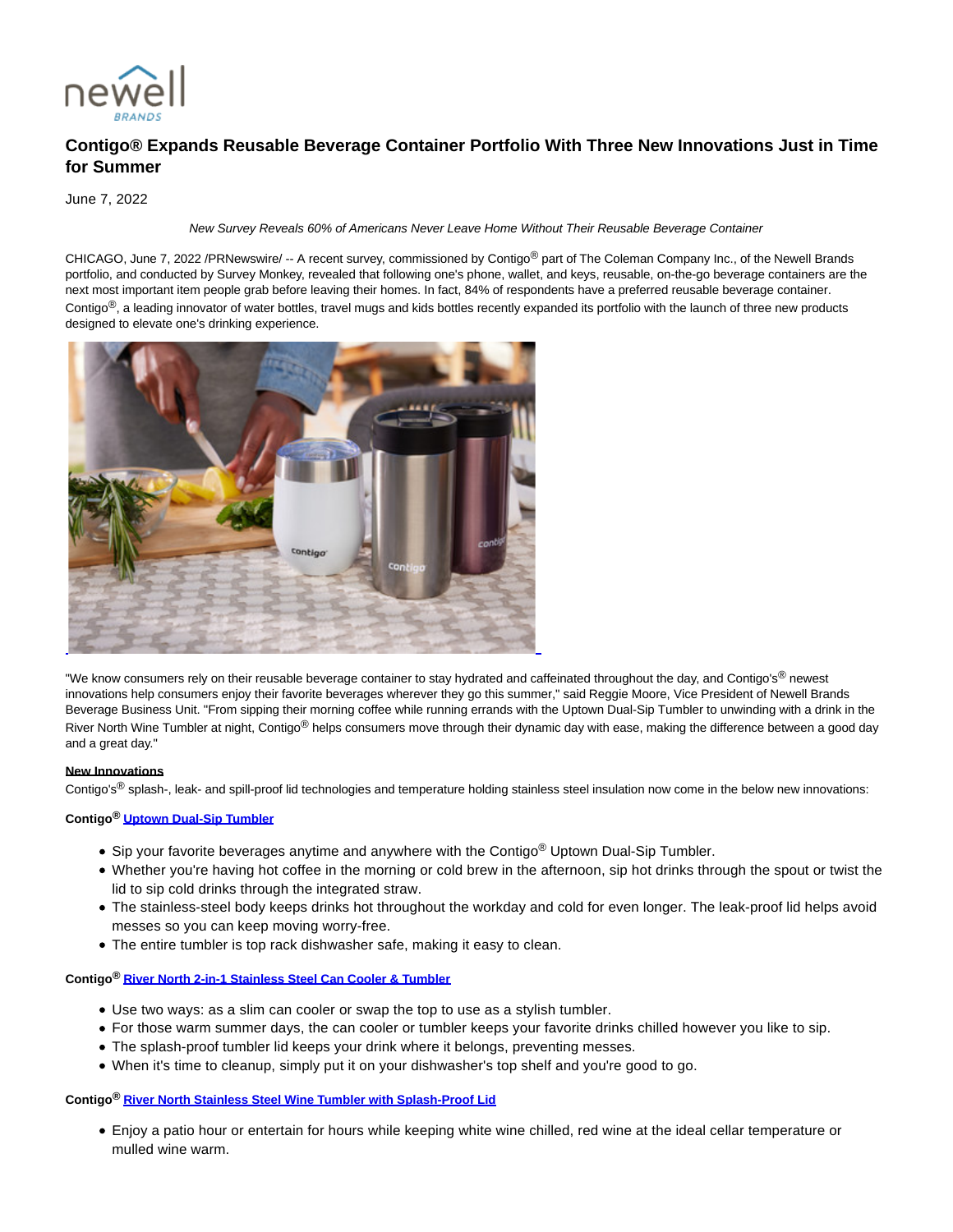

# **Contigo® Expands Reusable Beverage Container Portfolio With Three New Innovations Just in Time for Summer**

June 7, 2022

#### New Survey Reveals 60% of Americans Never Leave Home Without Their Reusable Beverage Container

CHICAGO, June 7, 2022 /PRNewswire/ -- A recent survey, commissioned by Contigo® part of The Coleman Company Inc., of the Newell Brands portfolio, and conducted by Survey Monkey, revealed that following one's phone, wallet, and keys, reusable, on-the-go beverage containers are the next most important item people grab before leaving their homes. In fact, 84% of respondents have a preferred reusable beverage container. Contigo $<sup>®</sup>$ , a leading innovator of water bottles, travel mugs and kids bottles recently expanded its portfolio with the launch of three new products</sup> designed to elevate one's drinking experience.



"We know consumers rely on their reusable beverage container to stay hydrated and caffeinated throughout the day, and Contigo's<sup>®</sup> newest innovations help consumers enjoy their favorite beverages wherever they go this summer," said Reggie Moore, Vice President of Newell Brands Beverage Business Unit. "From sipping their morning coffee while running errands with the Uptown Dual-Sip Tumbler to unwinding with a drink in the River North Wine Tumbler at night, Contigo<sup>®</sup> helps consumers move through their dynamic day with ease, making the difference between a good day and a great day."

#### **New Innovations**

Contigo's<sup>®</sup> splash-, leak- and spill-proof lid technologies and temperature holding stainless steel insulation now come in the below new innovations:

# **Contigo® [Uptown Dual-Sip Tumbler](https://c212.net/c/link/?t=0&l=en&o=3559299-1&h=3257545461&u=https%3A%2F%2Fwww.gocontigo.com%2Fuptown-dual-sip.html&a=Uptown+Dual-Sip+Tumbler)**

- Sip your favorite beverages anytime and anywhere with the Contigo<sup>®</sup> Uptown Dual-Sip Tumbler.
- Whether you're having hot coffee in the morning or cold brew in the afternoon, sip hot drinks through the spout or twist the lid to sip cold drinks through the integrated straw.
- The stainless-steel body keeps drinks hot throughout the workday and cold for even longer. The leak-proof lid helps avoid messes so you can keep moving worry-free.
- The entire tumbler is top rack dishwasher safe, making it easy to clean.

**Contigo® [River North 2-in-1 Stainless Steel Can Cooler & Tumbler](https://c212.net/c/link/?t=0&l=en&o=3559299-1&h=3171048203&u=https%3A%2F%2Fwww.gocontigo.com%2Friver-north.html&a=River+North+2-in-1+Stainless+Steel+Can+Cooler+%26+Tumbler)**

- Use two ways: as a slim can cooler or swap the top to use as a stylish tumbler.
- For those warm summer days, the can cooler or tumbler keeps your favorite drinks chilled however you like to sip.
- The splash-proof tumbler lid keeps your drink where it belongs, preventing messes.
- When it's time to cleanup, simply put it on your dishwasher's top shelf and you're good to go.

# **Contigo® [River North Stainless Steel Wine Tumbler with Splash-Proof Lid](https://c212.net/c/link/?t=0&l=en&o=3559299-1&h=839117800&u=https%3A%2F%2Fwww.gocontigo.com%2Friver-north.html&a=River+North+Stainless+Steel+Wine+Tumbler+with+Splash-Proof+Lid)**

Enjoy a patio hour or entertain for hours while keeping white wine chilled, red wine at the ideal cellar temperature or mulled wine warm.